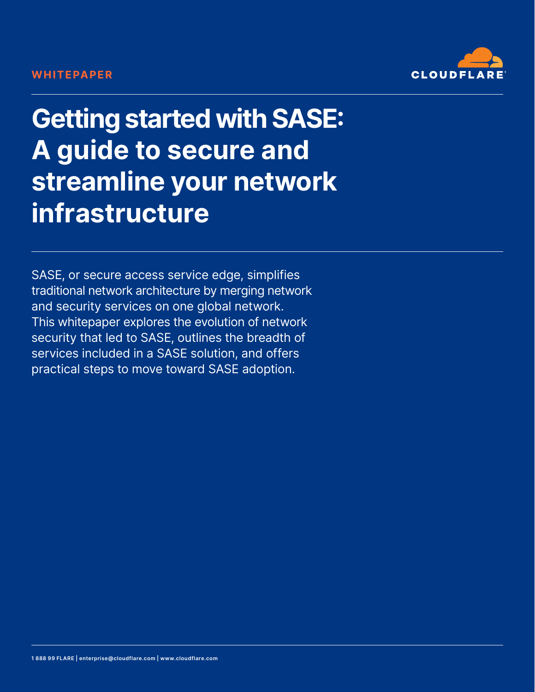### **WHITEPAPER**



**Getting started with SASE: A guide to secure and streamline your network infrastructure**

SASE, or secure access service edge, simplifies traditional network architecture by merging network and security services on one global network. This whitepaper explores the evolution of network security that led to SASE, outlines the breadth of services included in a SASE solution, and offers practical steps to move toward SASE adoption.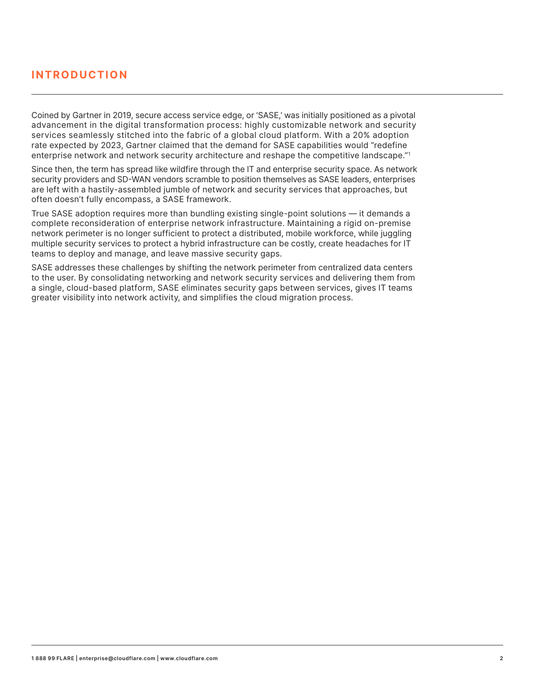### **INTRODUCTION**

Coined by Gartner in 2019, secure access service edge, or 'SASE,' was initially positioned as a pivotal advancement in the digital transformation process: highly customizable network and security services seamlessly stitched into the fabric of a global cloud platform. With a 20% adoption rate expected by 2023, Gartner claimed that the demand for SASE capabilities would "redefine enterprise network and network security architecture and reshape the competitive landscape."1

Since then, the term has spread like wildfire through the IT and enterprise security space. As network security providers and SD-WAN vendors scramble to position themselves as SASE leaders, enterprises are left with a hastily-assembled jumble of network and security services that approaches, but often doesn't fully encompass, a SASE framework.

True SASE adoption requires more than bundling existing single-point solutions — it demands a complete reconsideration of enterprise network infrastructure. Maintaining a rigid on-premise network perimeter is no longer sufficient to protect a distributed, mobile workforce, while juggling multiple security services to protect a hybrid infrastructure can be costly, create headaches for IT teams to deploy and manage, and leave massive security gaps.

SASE addresses these challenges by shifting the network perimeter from centralized data centers to the user. By consolidating networking and network security services and delivering them from a single, cloud-based platform, SASE eliminates security gaps between services, gives IT teams greater visibility into network activity, and simplifies the cloud migration process.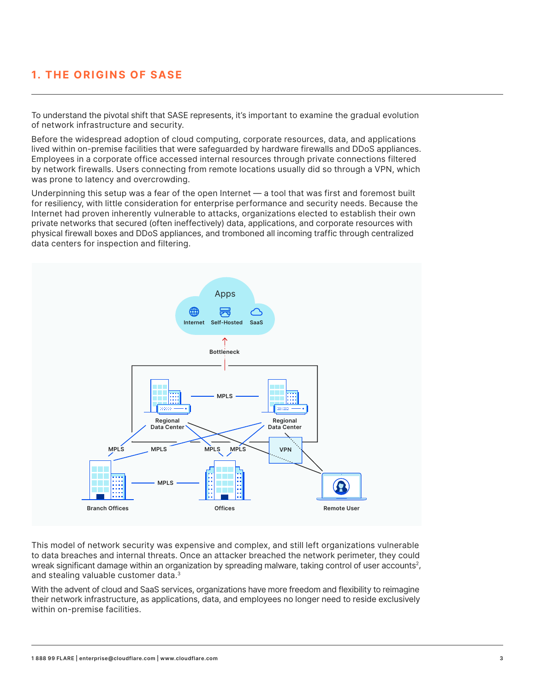# **1. THE ORIGINS OF SASE**

To understand the pivotal shift that SASE represents, it's important to examine the gradual evolution of network infrastructure and security.

Before the widespread adoption of cloud computing, corporate resources, data, and applications lived within on-premise facilities that were safeguarded by hardware firewalls and DDoS appliances. Employees in a corporate office accessed internal resources through private connections filtered by network firewalls. Users connecting from remote locations usually did so through a VPN, which was prone to latency and overcrowding.

Underpinning this setup was a fear of the open Internet — a tool that was first and foremost built for resiliency, with little consideration for enterprise performance and security needs. Because the Internet had proven inherently vulnerable to attacks, organizations elected to establish their own private networks that secured (often ineffectively) data, applications, and corporate resources with physical firewall boxes and DDoS appliances, and tromboned all incoming traffic through centralized data centers for inspection and filtering.



This model of network security was expensive and complex, and still left organizations vulnerable to data breaches and internal threats. Once an attacker breached the network perimeter, they could wreak significant damage within an organization by spreading malware, taking control of user accounts<sup>2</sup>, and stealing valuable customer data.3

With the advent of cloud and SaaS services, organizations have more freedom and flexibility to reimagine their network infrastructure, as applications, data, and employees no longer need to reside exclusively within on-premise facilities.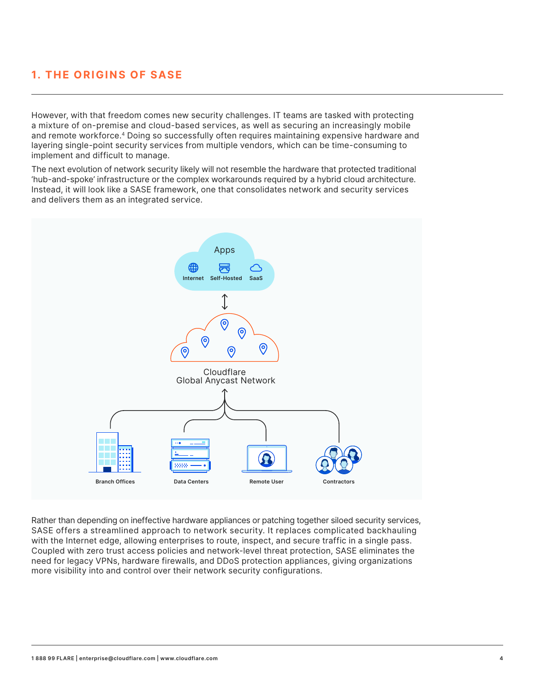# **1. THE ORIGINS OF SASE**

However, with that freedom comes new security challenges. IT teams are tasked with protecting a mixture of on-premise and cloud-based services, as well as securing an increasingly mobile and remote workforce.4 Doing so successfully often requires maintaining expensive hardware and layering single-point security services from multiple vendors, which can be time-consuming to implement and difficult to manage.

The next evolution of network security likely will not resemble the hardware that protected traditional 'hub-and-spoke' infrastructure or the complex workarounds required by a hybrid cloud architecture. Instead, it will look like a SASE framework, one that consolidates network and security services and delivers them as an integrated service.



Rather than depending on ineffective hardware appliances or patching together siloed security services, SASE offers a streamlined approach to network security. It replaces complicated backhauling with the Internet edge, allowing enterprises to route, inspect, and secure traffic in a single pass. Coupled with zero trust access policies and network-level threat protection, SASE eliminates the need for legacy VPNs, hardware firewalls, and DDoS protection appliances, giving organizations more visibility into and control over their network security configurations.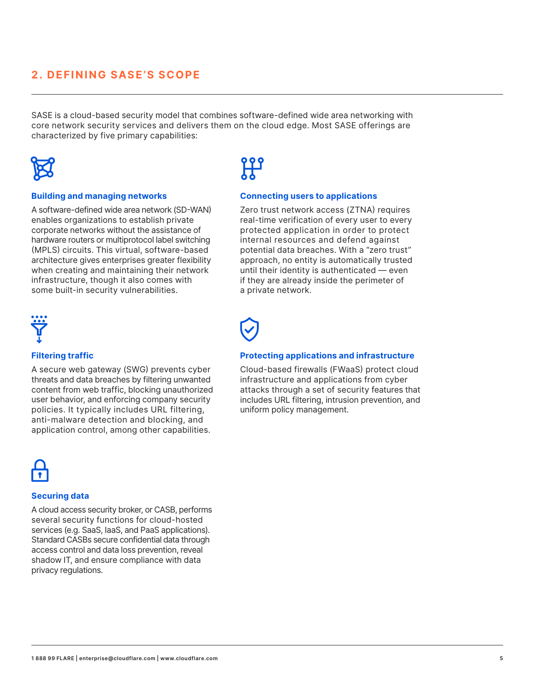### **2. DEFINING SASE'S SCOPE**

SASE is a cloud-based security model that combines software-defined wide area networking with core network security services and delivers them on the cloud edge. Most SASE offerings are characterized by five primary capabilities:



#### **Building and managing networks**

A software-defined wide area network (SD-WAN) enables organizations to establish private corporate networks without the assistance of hardware routers or multiprotocol label switching (MPLS) circuits. This virtual, software-based architecture gives enterprises greater flexibility when creating and maintaining their network infrastructure, though it also comes with some built-in security vulnerabilities.



#### **Filtering traffic**

A secure web gateway (SWG) prevents cyber threats and data breaches by filtering unwanted content from web traffic, blocking unauthorized user behavior, and enforcing company security policies. It typically includes URL filtering, anti-malware detection and blocking, and application control, among other capabilities.



#### **Securing data**

A cloud access security broker, or CASB, performs several security functions for cloud-hosted services (e.g. SaaS, IaaS, and PaaS applications). Standard CASBs secure confidential data through access control and data loss prevention, reveal shadow IT, and ensure compliance with data privacy regulations.



#### **Connecting users to applications**

Zero trust network access (ZTNA) requires real-time verification of every user to every protected application in order to protect internal resources and defend against potential data breaches. With a "zero trust" approach, no entity is automatically trusted until their identity is authenticated — even if they are already inside the perimeter of a private network.

#### **Protecting applications and infrastructure**

Cloud-based firewalls (FWaaS) protect cloud infrastructure and applications from cyber attacks through a set of security features that includes URL filtering, intrusion prevention, and uniform policy management.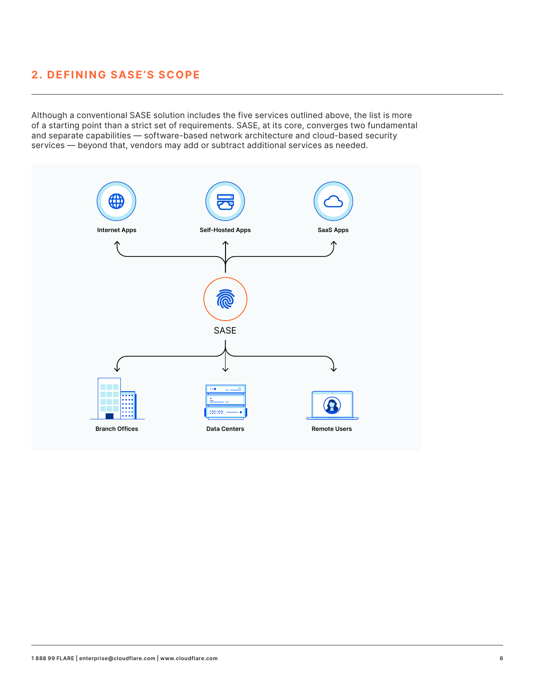### **2. DEFINING SASE'S SCOPE**

Although a conventional SASE solution includes the five services outlined above, the list is more of a starting point than a strict set of requirements. SASE, at its core, converges two fundamental and separate capabilities — software-based network architecture and cloud-based security services — beyond that, vendors may add or subtract additional services as needed.

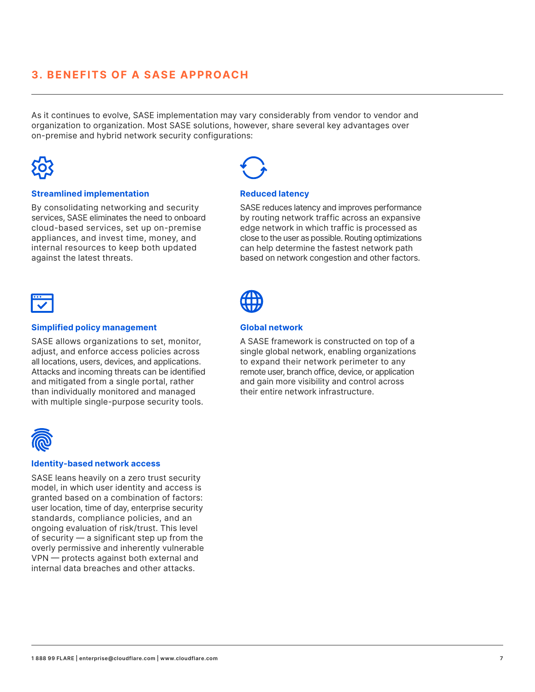### **3. BENEFITS OF A SASE APPROACH**

As it continues to evolve, SASE implementation may vary considerably from vendor to vendor and organization to organization. Most SASE solutions, however, share several key advantages over on-premise and hybrid network security configurations:



#### **Streamlined implementation**

By consolidating networking and security services, SASE eliminates the need to onboard cloud-based services, set up on-premise appliances, and invest time, money, and internal resources to keep both updated against the latest threats.



#### **Simplified policy management**

SASE allows organizations to set, monitor, adjust, and enforce access policies across all locations, users, devices, and applications. Attacks and incoming threats can be identified and mitigated from a single portal, rather than individually monitored and managed with multiple single-purpose security tools.



#### **Identity-based network access**

SASE leans heavily on a zero trust security model, in which user identity and access is granted based on a combination of factors: user location, time of day, enterprise security standards, compliance policies, and an ongoing evaluation of risk/trust. This level of security — a significant step up from the overly permissive and inherently vulnerable VPN — protects against both external and internal data breaches and other attacks.



#### **Reduced latency**

SASE reduces latency and improves performance by routing network traffic across an expansive edge network in which traffic is processed as close to the user as possible. Routing optimizations can help determine the fastest network path based on network congestion and other factors.



### **Global network**

A SASE framework is constructed on top of a single global network, enabling organizations to expand their network perimeter to any remote user, branch office, device, or application and gain more visibility and control across their entire network infrastructure.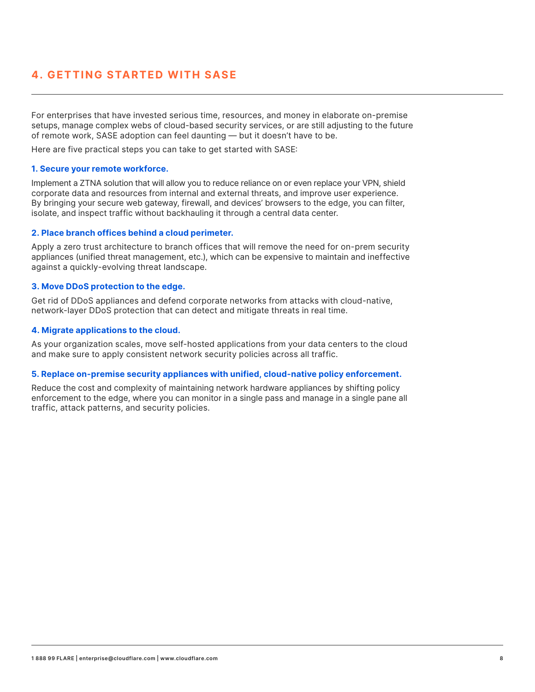### **4. GETTING STARTED WITH SASE**

For enterprises that have invested serious time, resources, and money in elaborate on-premise setups, manage complex webs of cloud-based security services, or are still adjusting to the future of remote work, SASE adoption can feel daunting — but it doesn't have to be.

Here are five practical steps you can take to get started with SASE:

#### **1. Secure your remote workforce.**

Implement a ZTNA solution that will allow you to reduce reliance on or even replace your VPN, shield corporate data and resources from internal and external threats, and improve user experience. By bringing your secure web gateway, firewall, and devices' browsers to the edge, you can filter, isolate, and inspect traffic without backhauling it through a central data center.

#### **2. Place branch offices behind a cloud perimeter.**

Apply a zero trust architecture to branch offices that will remove the need for on-prem security appliances (unified threat management, etc.), which can be expensive to maintain and ineffective against a quickly-evolving threat landscape.

#### **3. Move DDoS protection to the edge.**

Get rid of DDoS appliances and defend corporate networks from attacks with cloud-native, network-layer DDoS protection that can detect and mitigate threats in real time.

#### **4. Migrate applications to the cloud.**

As your organization scales, move self-hosted applications from your data centers to the cloud and make sure to apply consistent network security policies across all traffic.

#### **5. Replace on-premise security appliances with unified, cloud-native policy enforcement.**

Reduce the cost and complexity of maintaining network hardware appliances by shifting policy enforcement to the edge, where you can monitor in a single pass and manage in a single pane all traffic, attack patterns, and security policies.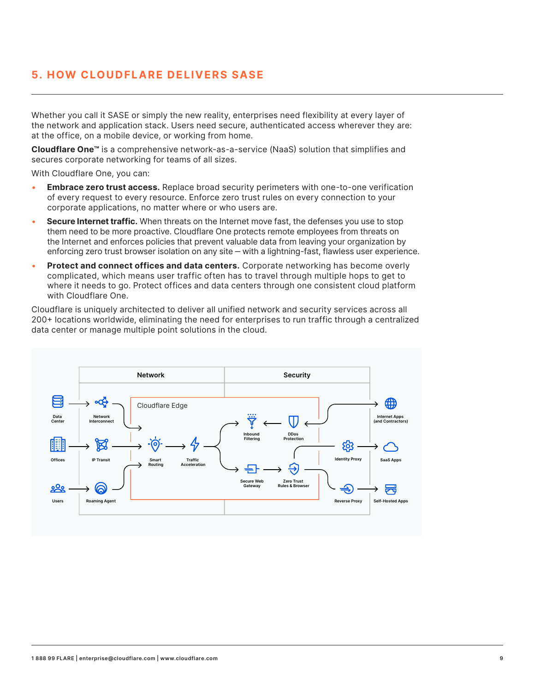### **5. HOW CLOUDFLARE DELIVERS SASE**

Whether you call it SASE or simply the new reality, enterprises need flexibility at every layer of the network and application stack. Users need secure, authenticated access wherever they are: at the office, on a mobile device, or working from home.

**Cloudflare One™** is a comprehensive network-as-a-service (NaaS) solution that simplifies and secures corporate networking for teams of all sizes.

With Cloudflare One, you can:

- • **Embrace zero trust access.** Replace broad security perimeters with one-to-one verification of every request to every resource. Enforce zero trust rules on every connection to your corporate applications, no matter where or who users are.
- • **Secure Internet traffic.** When threats on the Internet move fast, the defenses you use to stop them need to be more proactive. Cloudflare One protects remote employees from threats on the Internet and enforces policies that prevent valuable data from leaving your organization by enforcing zero trust browser isolation on any site – with a lightning-fast, flawless user experience.
- • **Protect and connect offices and data centers.** Corporate networking has become overly complicated, which means user traffic often has to travel through multiple hops to get to where it needs to go. Protect offices and data centers through one consistent cloud platform with Cloudflare One.

Cloudflare is uniquely architected to deliver all unified network and security services across all 200+ locations worldwide, eliminating the need for enterprises to run traffic through a centralized data center or manage multiple point solutions in the cloud.

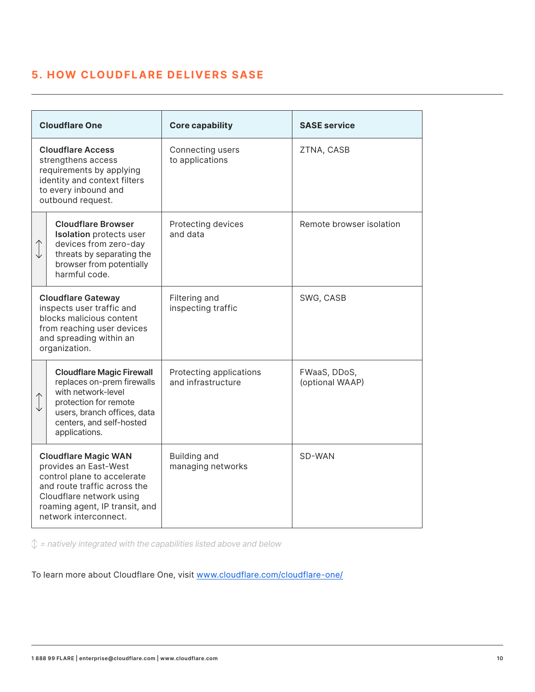## **5. HOW CLOUDFLARE DELIVERS SASE**

| <b>Cloudflare One</b>                                                                                                                                                                                      |                                                                                                                                                                                           | <b>Core capability</b>                        | <b>SASE service</b>             |
|------------------------------------------------------------------------------------------------------------------------------------------------------------------------------------------------------------|-------------------------------------------------------------------------------------------------------------------------------------------------------------------------------------------|-----------------------------------------------|---------------------------------|
| <b>Cloudflare Access</b><br>strengthens access<br>requirements by applying<br>identity and context filters<br>to every inbound and<br>outbound request.                                                    |                                                                                                                                                                                           | Connecting users<br>to applications           | ZTNA, CASB                      |
|                                                                                                                                                                                                            | <b>Cloudflare Browser</b><br><b>Isolation</b> protects user<br>devices from zero-day<br>threats by separating the<br>browser from potentially<br>harmful code.                            | Protecting devices<br>and data                | Remote browser isolation        |
| <b>Cloudflare Gateway</b><br>inspects user traffic and<br>blocks malicious content<br>from reaching user devices<br>and spreading within an<br>organization.                                               |                                                                                                                                                                                           | Filtering and<br>inspecting traffic           | SWG, CASB                       |
|                                                                                                                                                                                                            | <b>Cloudflare Magic Firewall</b><br>replaces on-prem firewalls<br>with network-level<br>protection for remote<br>users, branch offices, data<br>centers, and self-hosted<br>applications. | Protecting applications<br>and infrastructure | FWaaS, DDoS,<br>(optional WAAP) |
| <b>Cloudflare Magic WAN</b><br>provides an East-West<br>control plane to accelerate<br>and route traffic across the<br>Cloudflare network using<br>roaming agent, IP transit, and<br>network interconnect. |                                                                                                                                                                                           | Building and<br>managing networks             | SD-WAN                          |

 $\mathcal{L}$  = natively integrated with the capabilities listed above and below

To learn more about Cloudflare One, visit [www.cloudflare.com/cloudflare-one/](https://www.cloudflare.com/cloudflare-one/)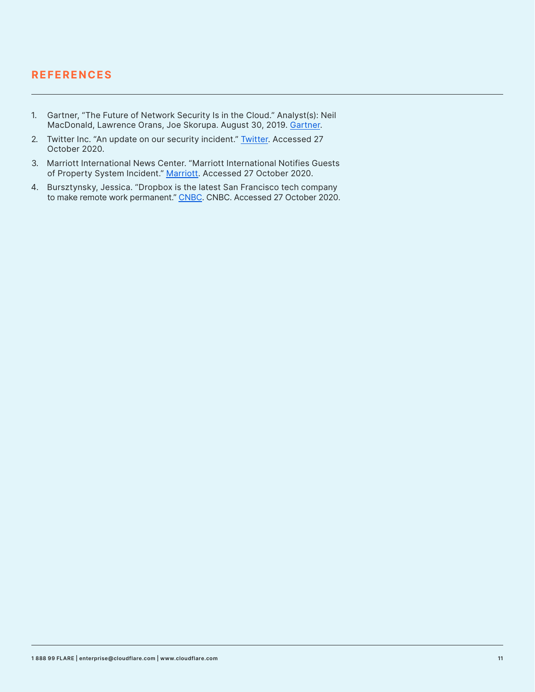### **REFERENCES**

- 1. Gartner, "The Future of Network Security Is in the Cloud." Analyst(s): Neil MacDonald, Lawrence Orans, Joe Skorupa. August 30, 2019. [Gartner](https://www.gartner.com/document/3956841).
- 2. Twitter Inc. "An update on our security incident." [Twitter.](https://blog.twitter.com/en_us/topics/company/2020/an-update-on-our-security-incident.html) Accessed 27 October 2020.
- 3. Marriott International News Center. "Marriott International Notifies Guests of Property System Incident." [Marriot](https://news.marriott.com/news/2020/03/31/marriott-international-notifies-guests-of-property-system-incident)t. Accessed 27 October 2020.
- 4. Bursztynsky, Jessica. "Dropbox is the latest San Francisco tech company to make remote work permanent." [CNBC](https://www.cnbc.com/2020/10/13/dropbox-latest-san-francisco-tech-company-making-remote-work-permanent.html). CNBC. Accessed 27 October 2020.